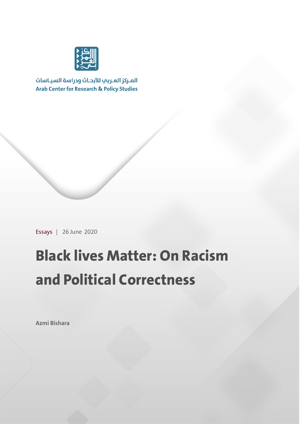

المركز العربب للأبحاث ودراسة السياسات **Arab Center for Research & Policy Studies** 

Essays | 26 June 2020

## **Black lives Matter: On Racism and Political Correctness**

**Azmi Bishara**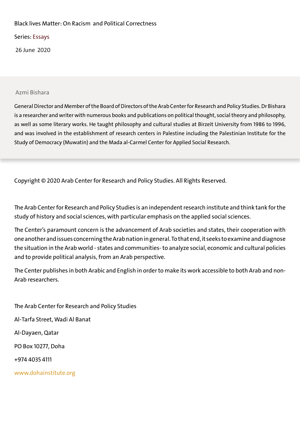#### Black lives Matter: On Racism and Political Correctness

Series: Essays

26 June 2020

#### Azmi Bishara

General Director and Member of the Board of Directors of the Arab Center for Research and Policy Studies. Dr Bishara is a researcher and writer with numerous books and publications on political thought, social theory and philosophy, as well as some literary works. He taught philosophy and cultural studies at Birzeit University from 1986 to 1996, and was involved in the establishment of research centers in Palestine including the Palestinian Institute for the Study of Democracy (Muwatin) and the Mada al-Carmel Center for Applied Social Research.

Copyright © 2020 Arab Center for Research and Policy Studies. All Rights Reserved.

The Arab Center for Research and Policy Studies is an independent research institute and think tank for the study of history and social sciences, with particular emphasis on the applied social sciences.

The Center's paramount concern is the advancement of Arab societies and states, their cooperation with one another and issues concerning the Arab nation in general. To that end, it seeks to examine and diagnose the situation in the Arab world - states and communities- to analyze social, economic and cultural policies and to provide political analysis, from an Arab perspective.

The Center publishes in both Arabic and English in order to make its work accessible to both Arab and non-Arab researchers.

The Arab Center for Research and Policy Studies Al-Tarfa Street, Wadi Al Banat Al-Dayaen, Qatar PO Box 10277, Doha +974 4035 4111 www.dohainstitute.org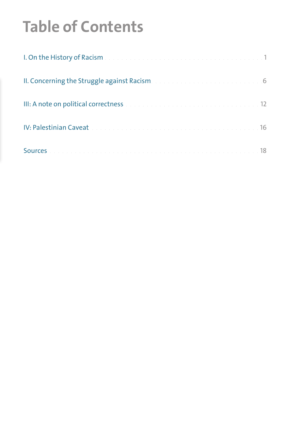# **Table of Contents**

| II. Concerning the Struggle against Racisman and an analyzing and an additional of               |  |
|--------------------------------------------------------------------------------------------------|--|
| III: A note on political correctness and a substantial contractor of the 12                      |  |
| IV: Palestinian Caveat and a construction of the construction of the construction of 16          |  |
| Sources and an annual contract the contract of the contract of the contract of the set of the 18 |  |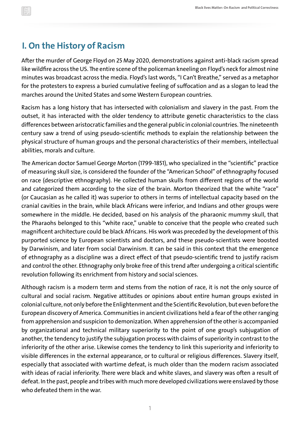### **I. On the History of Racism**

After the murder of George Floyd on 25 May 2020, demonstrations against anti-black racism spread like wildfire across the US. The entire scene of the policeman kneeling on Floyd's neck for almost nine minutes was broadcast across the media. Floyd's last words, "I Can't Breathe," served as a metaphor for the protesters to express a buried cumulative feeling of suffocation and as a slogan to lead the marches around the United States and some Western European countries.

Racism has a long history that has intersected with colonialism and slavery in the past. From the outset, it has interacted with the older tendency to attribute genetic characteristics to the class differences between aristocratic families and the general public in colonial countries. The nineteenth century saw a trend of using pseudo-scientific methods to explain the relationship between the physical structure of human groups and the personal characteristics of their members, intellectual abilities, morals and culture.

The American doctor Samuel George Morton (1799-1851), who specialized in the "scientific" practice of measuring skull size, is considered the founder of the "American School" of ethnography focused on race (descriptive ethnography). He collected human skulls from different regions of the world and categorized them according to the size of the brain. Morton theorized that the white "race" (or Caucasian as he called it) was superior to others in terms of intellectual capacity based on the cranial cavities in the brain, while black Africans were inferior, and Indians and other groups were somewhere in the middle. He decided, based on his analysis of the pharaonic mummy skull, that the Pharaohs belonged to this "white race," unable to conceive that the people who created such magnificent architecture could be black Africans. His work was preceded by the development of this purported science by European scientists and doctors, and these pseudo-scientists were boosted by Darwinism, and later from social Darwinism. It can be said in this context that the emergence of ethnography as a discipline was a direct effect of that pseudo-scientific trend to justify racism and control the other. Ethnography only broke free of this trend after undergoing a critical scientific revolution following its enrichment from history and social sciences.

Although racism is a modern term and stems from the notion of race, it is not the only source of cultural and social racism. Negative attitudes or opinions about entire human groups existed in colonial culture, not only before the Enlightenment and the Scientific Revolution, but even before the European discovery of America. Communities in ancient civilizations held a fear of the other ranging from apprehension and suspicion to demonization. When apprehension of the other is accompanied by organizational and technical military superiority to the point of one group's subjugation of another, the tendency to justify the subjugation process with claims of superiority in contrast to the inferiority of the other arise. Likewise comes the tendency to link this superiority and inferiority to visible differences in the external appearance, or to cultural or religious differences. Slavery itself, especially that associated with wartime defeat, is much older than the modern racism associated with ideas of racial inferiority. There were black and white slaves, and slavery was often a result of defeat. In the past, people and tribes with much more developed civilizations were enslaved by those who defeated them in the war.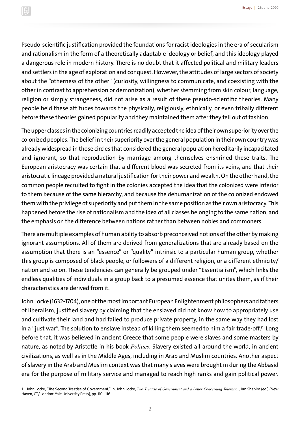Pseudo-scientific justification provided the foundations for racist ideologies in the era of secularism and rationalism in the form of a theoretically adaptable ideology or belief, and this ideology played a dangerous role in modern history. There is no doubt that it affected political and military leaders and settlers in the age of exploration and conquest. However, the attitudes of large sectors of society about the "otherness of the other" (curiosity, willingness to communicate, and coexisting with the other in contrast to apprehension or demonization), whether stemming from skin colour, language, religion or simply strangeness, did not arise as a result of these pseudo-scientific theories. Many people held these attitudes towards the physically, religiously, ethnically, or even tribally different before these theories gained popularity and they maintained them after they fell out of fashion.

The upper classes in the colonizing countries readily accepted the idea of their own superiority over the colonized peoples. The belief in their superiority over the general population in their own country was already widespread in those circles that considered the general population hereditarily incapacitated and ignorant, so that reproduction by marriage among themselves enshrined these traits. The European aristocracy was certain that a different blood was secreted from its veins, and that their aristocratic lineage provided a natural justification for their power and wealth. On the other hand, the common people recruited to fight in the colonies accepted the idea that the colonized were inferior to them because of the same hierarchy, and because the dehumanization of the colonized endowed them with the privilege of superiority and put them in the same position as their own aristocracy. This happened before the rise of nationalism and the idea of all classes belonging to the same nation, and the emphasis on the difference between nations rather than between nobles and commoners.

There are multiple examples of human ability to absorb preconceived notions of the other by making ignorant assumptions. All of them are derived from generalizations that are already based on the assumption that there is an "essence" or "quality" intrinsic to a particular human group, whether this group is composed of black people, or followers of a different religion, or a different ethnicity/ nation and so on. These tendencies can generally be grouped under "Essentialism", which links the endless qualities of individuals in a group back to a presumed essence that unites them, as if their characteristics are derived from it.

John Locke (1632-1704), one of the most important European Enlightenment philosophers and fathers of liberalism, justified slavery by claiming that the enslaved did not know how to appropriately use and cultivate their land and had failed to produce private property, in the same way they had lost in a "just war". The solution to enslave instead of killing them seemed to him a fair trade-off.**(1)** Long before that, it was believed in ancient Greece that some people were slaves and some masters by nature, as noted by Aristotle in his book *Politics*. Slavery existed all around the world, in ancient civilizations, as well as in the Middle Ages, including in Arab and Muslim countries. Another aspect of slavery in the Arab and Muslim context was that many slaves were brought in during the Abbasid era for the purpose of military service and managed to reach high ranks and gain political power.

**<sup>1</sup>** John Locke, "The Second Treatise of Government," in: John Locke, *Two Treatise of Government and a Letter Concerning Toleration*, Ian Shapiro (ed.) (New Haven, CT/ London: Yale University Press), pp. 110 -116.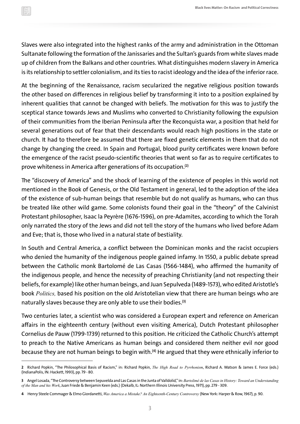Slaves were also integrated into the highest ranks of the army and administration in the Ottoman Sultanate following the formation of the Janissaries and the Sultan's guards from white slaves made up of children from the Balkans and other countries. What distinguishes modern slavery in America is its relationship to settler colonialism, and its ties to racist ideology and the idea of the inferior race.

At the beginning of the Renaissance, racism secularized the negative religious position towards the other based on differences in religious belief by transforming it into to a position explained by inherent qualities that cannot be changed with beliefs. The motivation for this was to justify the sceptical stance towards Jews and Muslims who converted to Christianity following the expulsion of their communities from the Iberian Peninsula after the Reconquista war, a position that held for several generations out of fear that their descendants would reach high positions in the state or church. It had to therefore be assumed that there are fixed genetic elements in them that do not change by changing the creed. In Spain and Portugal, blood purity certificates were known before the emergence of the racist pseudo-scientific theories that went so far as to require certificates to prove whiteness in America after generations of its occupation.**(2)**

The "discovery of America" and the shock of learning of the existence of peoples in this world not mentioned in the Book of Genesis, or the Old Testament in general, led to the adoption of the idea of the existence of sub-human beings that resemble but do not qualify as humans, who can thus be treated like other wild game. Some colonists found their goal in the "theory" of the Calvinist Protestant philosopher, Isaac la Peyrère (1676-1596), on pre-Adamites, according to which the Torah only narrated the story of the Jews and did not tell the story of the humans who lived before Adam and Eve; that is, those who lived in a natural state of bestiality.

In South and Central America, a conflict between the Dominican monks and the racist occupiers who denied the humanity of the indigenous people gained infamy. In 1550, a public debate spread between the Catholic monk Bartolomé de Las Casas (1566-1484), who affirmed the humanity of the indigenous people, and hence the necessity of preaching Christianity (and not respecting their beliefs, for example) like other human beings, and Juan Sepulveda (1489-1573), who edited Aristotle's book *Politics,* based his position on the old Aristotelian view that there are human beings who are naturally slaves because they are only able to use their bodies.**(3)**

Two centuries later, a scientist who was considered a European expert and reference on American affairs in the eighteenth century (without even visiting America), Dutch Protestant philosopher Cornelius de Pauw (1799-1739) returned to this position. He criticized the Catholic Church's attempt to preach to the Native Americans as human beings and considered them neither evil nor good because they are not human beings to begin with.**(4)** He argued that they were ethnically inferior to

**<sup>2</sup>** Richard Popkin, "The Philosophical Basis of Racism," in: Richard Popkin, *The High Road to Pyrrhonism*, Richard A. Watson & James E. Force (eds.) (IndianaPolis, IN: Hackett, 1993), pp. 79 - 80.

**<sup>3</sup>** Angel Losada, "The Controversy between Sepuvelda and Las Casas in the Junta of Valldolid," in: *Bartolimé de las Casas in History: Toward an Understanding of the Man and his Work*, Juan Friede & Benjamin Keen (eds.) (Dekalb, IL: Northern Illinois University Press, 1971), pp. 279 - 309.

**<sup>4</sup>** Henry Steele Commager & Elmo Giordanetti, *Was America a Mistake? An Eighteenth-Century Controversy* (New York: Harper & Row, 1967), p. 90.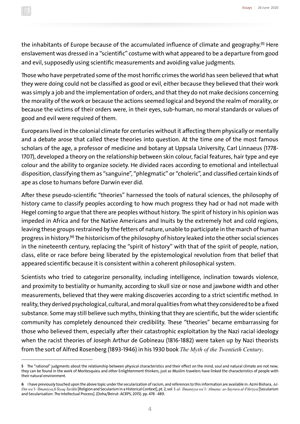the inhabitants of Europe because of the accumulated influence of climate and geography.**(5)** Here enslavement was dressed in a "scientific" costume with what appeared to be a departure from good and evil, supposedly using scientific measurements and avoiding value judgments.

Those who have perpetrated some of the most horrific crimes the world has seen believed that what they were doing could not be classified as good or evil, either because they believed that their work was simply a job and the implementation of orders, and that they do not make decisions concerning the morality of the work or because the actions seemed logical and beyond the realm of morality, or because the victims of their orders were, in their eyes, sub-human, no moral standards or values of good and evil were required of them.

Europeans lived in the colonial climate for centuries without it affecting them physically or mentally and a debate arose that called these theories into question. At the time one of the most famous scholars of the age, a professor of medicine and botany at Uppsala University, Carl Linnaeus (1778- 1707), developed a theory on the relationship between skin colour, facial features, hair type and eye colour and the ability to organize society. He divided races according to emotional and intellectual disposition, classifying them as "sanguine", "phlegmatic" or "choleric", and classified certain kinds of ape as close to humans before Darwin ever did.

After these pseudo-scientific "theories" harnessed the tools of natural sciences, the philosophy of history came to classify peoples according to how much progress they had or had not made with Hegel coming to argue that there are peoples without history. The spirit of history in his opinion was impeded in Africa and for the Native Americans and Inuits by the extremely hot and cold regions, leaving these groups restrained by the fetters of nature, unable to participate in the march of human progress in history.**(6)** The historicism of the philosophy of history leaked into the other social sciences in the nineteenth century, replacing the "spirit of history" with that of the spirit of people, nation, class, elite or race before being liberated by the epistemological revolution from that belief that appeared scientific because it is consistent within a coherent philosophical system.

Scientists who tried to categorize personality, including intelligence, inclination towards violence, and proximity to bestiality or humanity, according to skull size or nose and jawbone width and other measurements, believed that they were making discoveries according to a strict scientific method. In reality, they derived psychological, cultural, and moral qualities from what they considered to be a fixed substance. Some may still believe such myths, thinking that they are scientific, but the wider scientific community has completely denounced their credibility. These "theories" became embarrassing for those who believed them, especially after their catastrophic exploitation by the Nazi racial ideology when the racist theories of Joseph Arthur de Gobineau (1816-1882) were taken up by Nazi theorists from the sort of Alfred Rosenberg (1893-1946) in his 1930 book *The Myth of the Twentieth Century*.

**<sup>5</sup>** The "rational" judgments about the relationship between physical characteristics and their effect on the mind, soul and natural climate are not new; they can be found in the work of Montesquieu and other Enlightenment thinkers, just as Muslim travelers have linked the characteristics of people with their natural environment.

**<sup>6</sup>** I have previously touched upon the above topic under the secularization of racism, and references to this information are available in: Azmi Bishara, *Ad-Din wa'l-'Ilmaniyya fi Siyaq Tarikhi* [Religion and Secularism in a Historical Context], pt. 2, vol. 1: *al-'Ilmaniyya wa'l-'Almana: as-Sayrura al-Fikriyya* [Secularism and Secularisation: The Intellectual Process]. (Doha/Beirut: ACRPS, 2015). pp. 478 - 489.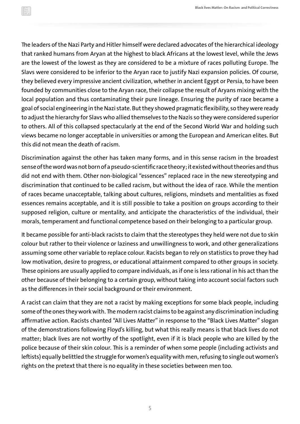The leaders of the Nazi Party and Hitler himself were declared advocates of the hierarchical ideology that ranked humans from Aryan at the highest to black Africans at the lowest level, while the Jews are the lowest of the lowest as they are considered to be a mixture of races polluting Europe. The Slavs were considered to be inferior to the Aryan race to justify Nazi expansion policies. Of course, they believed every impressive ancient civilization, whether in ancient Egypt or Persia, to have been founded by communities close to the Aryan race, their collapse the result of Aryans mixing with the local population and thus contaminating their pure lineage. Ensuring the purity of race became a goal of social engineering in the Nazi state. But they showed pragmatic flexibility, so they were ready to adjust the hierarchy for Slavs who allied themselves to the Nazis so they were considered superior to others. All of this collapsed spectacularly at the end of the Second World War and holding such views became no longer acceptable in universities or among the European and American elites. But this did not mean the death of racism.

Discrimination against the other has taken many forms, and in this sense racism in the broadest sense of the word was not born of a pseudo-scientific race theory; it existed without theories and thus did not end with them. Other non-biological "essences" replaced race in the new stereotyping and discrimination that continued to be called racism, but without the idea of race. While the mention of races became unacceptable, talking about cultures, religions, mindsets and mentalities as fixed essences remains acceptable, and it is still possible to take a position on groups according to their supposed religion, culture or mentality, and anticipate the characteristics of the individual, their morals, temperament and functional competence based on their belonging to a particular group.

It became possible for anti-black racists to claim that the stereotypes they held were not due to skin colour but rather to their violence or laziness and unwillingness to work, and other generalizations assuming some other variable to replace colour. Racists began to rely on statistics to prove they had low motivation, desire to progress, or educational attainment compared to other groups in society. These opinions are usually applied to compare individuals, as if one is less rational in his act than the other because of their belonging to a certain group, without taking into account social factors such as the differences in their social background or their environment.

A racist can claim that they are not a racist by making exceptions for some black people, including some of the ones they work with. The modern racist claims to be against any discrimination including affirmative action. Racists chanted "All Lives Matter" in response to the "Black Lives Matter" slogan of the demonstrations following Floyd's killing, but what this really means is that black lives do not matter; black lives are not worthy of the spotlight, even if it is black people who are killed by the police because of their skin colour. This is a reminder of when some people (including activists and leftists) equally belittled the struggle for women's equality with men, refusing to single out women's rights on the pretext that there is no equality in these societies between men too.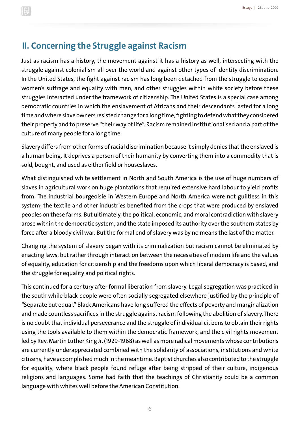## **II. Concerning the Struggle against Racism**

Just as racism has a history, the movement against it has a history as well, intersecting with the struggle against colonialism all over the world and against other types of identity discrimination. In the United States, the fight against racism has long been detached from the struggle to expand women's suffrage and equality with men, and other struggles within white society before these struggles interacted under the framework of citizenship. The United States is a special case among democratic countries in which the enslavement of Africans and their descendants lasted for a long time and where slave owners resisted change for a long time, fighting to defend what they considered their property and to preserve "their way of life". Racism remained institutionalised and a part of the culture of many people for a long time.

Slavery differs from other forms of racial discrimination because it simply denies that the enslaved is a human being. It deprives a person of their humanity by converting them into a commodity that is sold, bought, and used as either field or houseslaves.

What distinguished white settlement in North and South America is the use of huge numbers of slaves in agricultural work on huge plantations that required extensive hard labour to yield profits from. The industrial bourgeoisie in Western Europe and North America were not guiltless in this system; the textile and other industries benefited from the crops that were produced by enslaved peoples on these farms. But ultimately, the political, economic, and moral contradiction with slavery arose within the democratic system, and the state imposed its authority over the southern states by force after a bloody civil war. But the formal end of slavery was by no means the last of the matter.

Changing the system of slavery began with its criminalization but racism cannot be eliminated by enacting laws, but rather through interaction between the necessities of modern life and the values of equality, education for citizenship and the freedoms upon which liberal democracy is based, and the struggle for equality and political rights.

This continued for a century after formal liberation from slavery. Legal segregation was practiced in the south while black people were often socially segregated elsewhere justified by the principle of "Separate but equal." Black Americans have long suffered the effects of poverty and marginalization and made countless sacrifices in the struggle against racism following the abolition of slavery. There is no doubt that individual perseverance and the struggle of individual citizens to obtain their rights using the tools available to them within the democratic framework, and the civil rights movement led by Rev. Martin Luther King Jr. (1929-1968) as well as more radical movements whose contributions are currently underappreciated combined with the solidarity of associations, institutions and white citizens, have accomplished much in the meantime. Baptist churches also contributed to the struggle for equality, where black people found refuge after being stripped of their culture, indigenous religions and languages. Some had faith that the teachings of Christianity could be a common language with whites well before the American Constitution.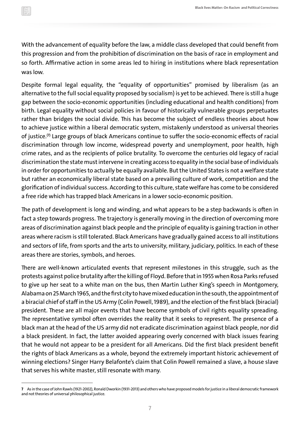With the advancement of equality before the law, a middle class developed that could benefit from this progression and from the prohibition of discrimination on the basis of race in employment and so forth. Affirmative action in some areas led to hiring in institutions where black representation was low.

Despite formal legal equality, the "equality of opportunities" promised by liberalism (as an alternative to the full social equality proposed by socialism) is yet to be achieved. There is still a huge gap between the socio-economic opportunities (including educational and health conditions) from birth. Legal equality without social policies in favour of historically vulnerable groups perpetuates rather than bridges the social divide. This has become the subject of endless theories about how to achieve justice within a liberal democratic system, mistakenly understood as universal theories of justice.**(7)** Large groups of black Americans continue to suffer the socio-economic effects of racial discrimination through low income, widespread poverty and unemployment, poor health, high crime rates, and as the recipients of police brutality. To overcome the centuries old legacy of racial discrimination the state must intervene in creating access to equality in the social base of individuals in order for opportunities to actually be equally available. But the United States is not a welfare state but rather an economically liberal state based on a prevailing culture of work, competition and the glorification of individual success. According to this culture, state welfare has come to be considered a free ride which has trapped black Americans in a lower socio-economic position.

The path of development is long and winding, and what appears to be a step backwards is often in fact a step towards progress. The trajectory is generally moving in the direction of overcoming more areas of discrimination against black people and the principle of equality is gaining traction in other areas where racism is still tolerated. Black Americans have gradually gained access to all institutions and sectors of life, from sports and the arts to university, military, judiciary, politics. In each of these areas there are stories, symbols, and heroes.

There are well-known articulated events that represent milestones in this struggle, such as the protests against police brutality after the killing of Floyd. Before that in 1955 when Rosa Parks refused to give up her seat to a white man on the bus, then Martin Luther King's speech in Montgomery, Alabama on 25 March 1965, and the first city to have mixed education in the south, the appointment of a biracial chief of staff in the US Army (Colin Powell, 1989), and the election of the first black (biracial) president. These are all major events that have become symbols of civil rights equality spreading. The representative symbol often overrides the reality that it seeks to represent. The presence of a black man at the head of the US army did not eradicate discrimination against black people, nor did a black president. In fact, the latter avoided appearing overly concerned with black issues fearing that he would not appear to be a president for all Americans. Did the first black president benefit the rights of black Americans as a whole, beyond the extremely important historic achievement of winning elections? Singer Harry Belafonte's claim that Colin Powell remained a slave, a house slave that serves his white master, still resonate with many.

**<sup>7</sup>** As in the case of John Rawls (1921-2002), Ronald Dworkin (1931-2013) and others who have proposed models for justice in a liberal democratic framework and not theories of universal philosophical justice.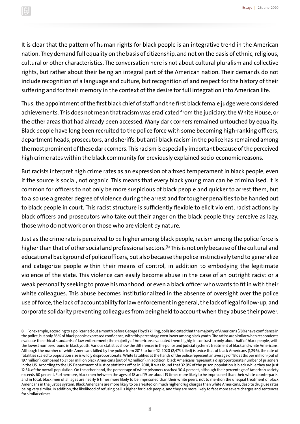It is clear that the pattern of human rights for black people is an integrative trend in the American nation. They demand full equality on the basis of citizenship, and not on the basis of ethnic, religious, cultural or other characteristics. The conversation here is not about cultural pluralism and collective rights, but rather about their being an integral part of the American nation. Their demands do not include recognition of a language and culture, but recognition of and respect for the history of their suffering and for their memory in the context of the desire for full integration into American life.

Thus, the appointment of the first black chief of staff and the first black female judge were considered achievements. This does not mean that racism was eradicated from the judiciary, the White House, or the other areas that had already been accessed. Many dark corners remained untouched by equality. Black people have long been recruited to the police force with some becoming high-ranking officers, department heads, prosecutors, and sheriffs, but anti-black racism in the police has remained among the most prominent of these dark corners. This racism is especially important because of the perceived high crime rates within the black community for previously explained socio-economic reasons.

But racists interpret high crime rates as an expression of a fixed temperament in black people, even if the source is social, not organic. This means that every black young man can be criminalised. It is common for officers to not only be more suspicious of black people and quicker to arrest them, but to also use a greater degree of violence during the arrest and for tougher penalties to be handed out to black people in court. This racist structure is sufficiently flexible to elicit violent, racist actions by black officers and prosecutors who take out their anger on the black people they perceive as lazy, those who do not work or on those who are violent by nature.

Just as the crime rate is perceived to be higher among black people, racism among the police force is higher than that of other social and professional sectors.**(8)** This is not only because of the cultural and educational background of police officers, but also because the police instinctively tend to generalize and categorize people within their means of control, in addition to embodying the legitimate violence of the state. This violence can easily become abuse in the case of an outright racist or a weak personality seeking to prove his manhood, or even a black officer who wants to fit in with their white colleagues. This abuse becomes institutionalized in the absence of oversight over the police use of force, the lack of accountability for law enforcement in general, the lack of legal follow-up, and corporate solidarity preventing colleagues from being held to account when they abuse their power.

**<sup>8</sup>** For example, according to a poll carried out a month before George Floyd's killing, polls indicated that the majority of Americans (78%) have confidence in the police, but only 56 % of black people expressed confidence, with this percentage even lower among black youth. The ratios are similar when respondents evaluate the ethical standards of law enforcement; the majority of Americans evaluated them highly, in contrast to only about half of black people, with the lowest numbers found in black youth. Various statistics show the differences in the police and judicial system's treatment of black and white Americans. Although the number of white Americans killed by the police from 2015 to June 12, 2020 (2,473 killed) is twice that of black Americans (1,296), the rate of fatalities scaled to population size is wildly disproportionate. White fatalities at the hands of the police represent an average of 13 deaths per million (out of 197 million), compared to 31 per million black Americans (out of 42 million). In addition, black Americans represent a disproportionate number of prisoners in the US. According to the US Department of Justice statistics office in 2018, it was found that 32.9% of the prison population is black while they are just 12.3% of the overall population. On the other hand, the percentage of white prisoners reached 30.4 percent, although their percentage of American society exceeds 60 percent. Furthermore, black men between the ages of 18 and 19 are about 13 times more likely to be imprisoned than their white counterparts, and in total, black men of all ages are nearly 6 times more likely to be imprisoned than their white peers, not to mention the unequal treatment of black Americans in the justice system. Black Americans are more likely to be arrested on much higher drug charges than white Americans, despite drug use rates being very similar. In addition, the likelihood of refusing bail is higher for black people, and they are more likely to face more severe charges and sentences for similar crimes.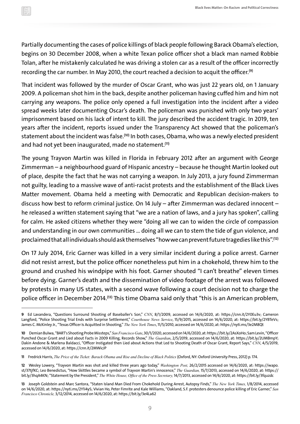Partially documenting the cases of police killings of black people following Barack Obama's election, begins on 30 December 2008, when a white Texan police officer shot a black man named Robbie Tolan, after he mistakenly calculated he was driving a stolen car as a result of the officer incorrectly recording the car number. In May 2010, the court reached a decision to acquit the officer.**(9)**

That incident was followed by the murder of Oscar Grant, who was just 22 years old, on 1 January 2009. A policeman shot him in the back, despite another policeman having cuffed him and him not carrying any weapons. The police only opened a full investigation into the incident after a video spread weeks later documenting Oscar's death. The policeman was punished with only two years' imprisonment based on his lack of intent to kill. The jury described the accident tragic. In 2019, ten years after the incident, reports issued under the Transparency Act showed that the policeman's statement about the incident was false.**(10)** In both cases, Obama, who was a newly elected president and had not yet been inaugurated, made no statement.**(11)**

The young Trayvon Martin was killed in Florida in February 2012 after an argument with George Zimmerman – a neighbourhood guard of Hispanic ancestry – because he thought Martin looked out of place, despite the fact that he was not carrying a weapon. In July 2013, a jury found Zimmerman not guilty, leading to a massive wave of anti-racist protests and the establishment of the Black Lives Matter movement. Obama held a meeting with Democratic and Republican decision-makers to discuss how best to reform criminal justice. On 14 July – after Zimmerman was declared innocent – he released a written statement saying that "we are a nation of laws, and a jury has spoken", calling for calm. He asked citizens whether they were "doing all we can to widen the circle of compassion and understanding in our own communities … doing all we can to stem the tide of gun violence, and proclaimed that all individuals should ask themselves "how we can prevent future tragedies like this".**(12)**

On 17 July 2014, Eric Garner was killed in a very similar incident during a police arrest. Garner did not resist arrest, but the police officer nonetheless put him in a chokehold, threw him to the ground and crushed his windpipe with his foot. Garner shouted "I can't breathe" eleven times before dying. Garner's death and the dissemination of video footage of the arrest was followed by protests in many US states, with a second wave following a court decision not to charge the police officer in December 2014.**(13)** This time Obama said only that "this is an American problem,

**<sup>9</sup>** Ed Lavandera, "Questions Surround Shooting of Baseballer's Son," *CNN*, 8/1/2009, accessed on 14/6/2020, at: https://cnn.it/2Y0Eu3v; Cameron Langford, "Police Shooting Trial Ends with Surprise Settlement," *Courthouse News Service*, 15/9/2015, accessed on 14/6/2020, at: https://bit.ly/2YBTeVs; James C. McKinley Jr., "Texas Officer Is Acquitted in Shooting," *The New York Times*, 11/5/2010, accessed on 14/6/2020, at: https://nyti.ms/3e2M8Qt

**<sup>10</sup>** Demian Bulwa, "BART's Shooting Probe Missteps," *San Francisco Gate*, 30/1/2020, accessed on 14/6/2020, at: https://bit.ly/2AsXoHo; Sam Levin, "Officer Punched Oscar Grant and Lied about Facts in 2009 Killing, Records Show," *The Guardian*, 2/5/2019, accessed on 14/6/2020, at: https://bit.ly/2UMBmpY; Dakin Andone & Marlena Baldacci, "Officer Instigated then Lied about Actions that Led to Shooting Death of Oscar Grant, Report Says," *CNN*, 4/5/2019, accessed on 14/6/2020, at: https://cnn.it/2MWicJP

**<sup>11</sup>** Fredrick Harris, *The Price of the Ticket: Barack Obama and Rise and Decline of Black Politics* (Oxford, NY: Oxford University Press, 2012) p. 174.

**<sup>12</sup>** Wesley Lowery, "Trayvon Martin was shot and killed three years ago today," *Washington Post,* 26/2/2015 accessed on 14/6/2020, at: https://wapo. st/37tjfKC; Leo Benedictus, "How Skittles became a symbol of Trayvon Martin's innocence," *The Guardian,* 15/7/2013, accessed on 14/6/2020, at: https:// bit.ly/3hqA4KN; "Statement by the President," *The White House, Office of the Press Secretary,* 14/7/2013, accessed on 14/6/2020, at: https://bit.ly/3fquzdc

**<sup>13</sup>** Joseph Goldstein and Marc Santora, "Staten Island Man Died From Chokehold During Arrest, Autopsy Finds," *The New York Times,* 1/8/2014, accessed on 14/6/2020, at: https://nyti.ms/2Y1i4yS; Vivian Ho, Peter Fimrite and Kale Williams, "Oakland, S.F. protesters denounce police killing of Eric Garner," *San Francisco Chronicle,* 3/12/2014, accessed on 14/6/2020, at: https://bit.ly/3e4La62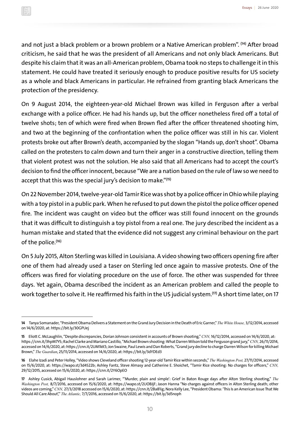and not just a black problem or a brown problem or a Native American problem". **(14)** After broad criticism, he said that he was the president of all Americans and not only black Americans. But despite his claim that it was an all-American problem, Obama took no steps to challenge it in this statement. He could have treated it seriously enough to produce positive results for US society as a whole and black Americans in particular. He refrained from granting black Americans the protection of the presidency.

On 9 August 2014, the eighteen-year-old Michael Brown was killed in Ferguson after a verbal exchange with a police officer. He had his hands up, but the officer nonetheless fired off a total of twelve shots; ten of which were fired when Brown fled after the officer threatened shooting him, and two at the beginning of the confrontation when the police officer was still in his car. Violent protests broke out after Brown's death, accompanied by the slogan "Hands up, don't shoot". Obama called on the protesters to calm down and turn their anger in a constructive direction, telling them that violent protest was not the solution. He also said that all Americans had to accept the court's decision to find the officer innocent, because "We are a nation based on the rule of law so we need to accept that this was the special jury's decision to make."**(15)**

On 22 November 2014, twelve-year-old Tamir Rice was shot by a police officer in Ohio while playing with a toy pistol in a public park. When he refused to put down the pistol the police officer opened fire. The incident was caught on video but the officer was still found innocent on the grounds that it was difficult to distinguish a toy pistol from a real one. The jury described the incident as a human mistake and stated that the evidence did not suggest any criminal behaviour on the part of the police.**(16)**

On 5 July 2015, Alton Sterling was killed in Louisiana. A video showing two officers opening fire after one of them had already used a taser on Sterling led once again to massive protests. One of the officers was fired for violating procedure on the use of force. The other was suspended for three days. Yet again, Obama described the incident as an American problem and called the people to work together to solve it. He reaffirmed his faith in the US judicial system.**(17)** A short time later, on 17

**<sup>14</sup>** Tanya Somanader, "President Obama Delivers a Statement on the Grand Jury Decision in the Death of Eric Garner," *The White House,* 3/12/2014, accessed on 14/6/2020, at: https://bit.ly/30GPUej

**<sup>15</sup>** Eliott C. McLaughlin, "Despite discrepancies, Dorian Johnson consistent in accounts of Brown shooting," *CNN,* 16/12/2014, accessed on 14/6/2020, at: https://cnn.it/3hpM7YS; Rachel Clarke and Mariano Castillo, "Michael Brown shooting: What Darren Wilson told the Ferguson grand jury," *CNN,* 26/11/2014, accessed on 14/6/2020, at: https://cnn.it/2UM1kK5; Jon Swaine, Paul Lewis and Dan Roberts, "Grand jury decline to charge Darren Wilson for killing Michael Brown," *The Guardian*, 25/11/2014, accessed on 14/6/2020, at: https://bit.ly/3dYDEd3

**<sup>16</sup>** Elahe Izadi and Peter Holley, "Video shows Cleveland officer shooting 12-year-old Tamir Rice within seconds," *The Washington Post,* 27/11/2014, accessed on 15/6/2020, at: https://wapo.st/3d4S22b; Ashley Fantz, Steve Almasy and Catherine E. Shoichet, "Tamir Rice shooting: No charges for officers," *CNN,* 29/12/2015, accessed on 15/6/2020, at: https://cnn.it/2Y6OpEO

**<sup>17</sup>** Ashley Cusick, Abigail Hauslohner and Sarah Larimer, "'Murder, plain and simple': Grief in Baton Rouge days after Alton Sterling shooting," *The Washington Post,* 8/7/2016, accessed on 15/6/2020, at: https://wapo.st/2UOBJjF; Jason Hanna "No charges against officers in Alton Sterling death; other videos are coming," *CNN,* 27/3/2018 accessed on 15/6/2020, at: https://cnn.it/2Ba81ig; Nora Kelly Lee, "President Obama: 'This Is an American Issue That We Should All Care About'," *The Atlantic,* 7/7/2016, accessed on 15/6/2020, at: https://bit.ly/3d5noph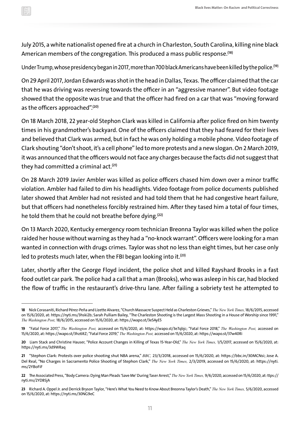July 2015, a white nationalist opened fire at a church in Charleston, South Carolina, killing nine black American members of the congregation. This produced a mass public response.**(18)**

Under Trump, whose presidency began in 2017, more than 700 black Americans have been killed by the police.**(19)**

On 29 April 2017, Jordan Edwards was shot in the head in Dallas, Texas. The officer claimed that the car that he was driving was reversing towards the officer in an "aggressive manner". But video footage showed that the opposite was true and that the officer had fired on a car that was "moving forward as the officers approached".**(20)**

On 18 March 2018, 22 year-old Stephon Clark was killed in California after police fired on him twenty times in his grandmother's backyard. One of the officers claimed that they had feared for their lives and believed that Clark was armed, but in fact he was only holding a mobile phone. Video footage of Clark shouting "don't shoot, it's a cell phone" led to more protests and a new slogan. On 2 March 2019, it was announced that the officers would not face any charges because the facts did not suggest that they had committed a criminal act.**(21)**

On 28 March 2019 Javier Ambler was killed as police officers chased him down over a minor traffic violation. Ambler had failed to dim his headlights. Video footage from police documents published later showed that Ambler had not resisted and had told them that he had congestive heart failure, but that officers had nonetheless forcibly restrained him. After they tased him a total of four times, he told them that he could not breathe before dying.**(22)**

On 13 March 2020, Kentucky emergency room technician Breonna Taylor was killed when the police raided her house without warning as they had a "no-knock warrant". Officers were looking for a man wanted in connection with drugs crimes. Taylor was shot no less than eight times, but her case only led to protests much later, when the FBI began looking into it.**(23)**

Later, shortly after the George Floyd incident, the police shot and killed Rayshard Brooks in a fast food outlet car park. The police had a call that a man (Brooks), who was asleep in his car, had blocked the flow of traffic in the restaurant's drive-thru lane. After failing a sobriety test he attempted to

**<sup>18</sup>** Nick Corasaniti, Richard Pérez-Peña and Lizette Alvarez, "Church Massacre Suspect Held as Charleston Grieves," *The New York Times,* 18/6/2015, accessed on 15/6/2020, at: https://nyti.ms/3hski2b; Sarah Pulliam Bailey, "The Charleston Shooting is the Largest Mass Shooting in a House of Worship since 1991," *The Washington Post,* 18/6/2015, accessed on 15/6/2020, at: https://wapo.st/3e5AyE5

**<sup>19</sup>** "Fatal Force 2017," *The Washington Post,* accessed on 15/6/2020, at: https://wapo.st/3e7qbjc; "Fatal Force 2018," *The Washington Post,* accessed on 15/6/2020, at: https://wapo.st/3hz6ItZ; "Fatal Force 2019," *The Washington Post,* accessed on 15/6/2020, at: https://wapo.st/37w40Ri

**<sup>20</sup>** Liam Stack and Christine Hauser, "Police Account Changes in Killing of Texas 15-Year-Old," *The New York Times,* 1/5/2017, accessed on 15/6/2020, at: https://nyti.ms/3d9WRaq

**<sup>21</sup>** "Stephon Clark: Protests over police shooting shut NBA arena," *BBC,* 23/3/2018, accessed on 15/6/2020, at: https://bbc.in/30MCNsi; Jose A. Del Real, "No Charges in Sacramento Police Shooting of Stephon Clark," *The New York Times,* 2/3/2019, accessed on 15/6/2020, at: https://nyti. ms/2YBoFiF

**<sup>22</sup>** The Associated Press, "Body Camera: Dying Man Pleads 'Save Me' During Taser Arrest," *The New York Times,* 9/6/2020, accessed on 15/6/2020, at: ttps:// nyti.ms/2YD8SjA

**<sup>23</sup>** Richard A. Oppel Jr. and Derrick Bryson Taylor, "Here's What You Need to Know About Breonna Taylor's Death," *The New York Times,* 5/6/2020, accessed on 15/6/2020, at: https://nyti.ms/30NG9eC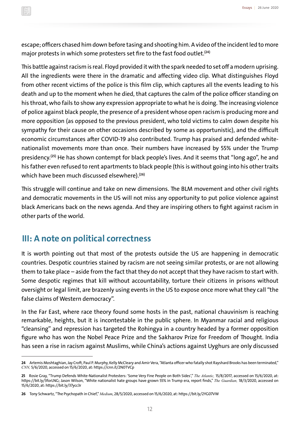escape; officers chased him down before tasing and shooting him. A video of the incident led to more major protests in which some protesters set fire to the fast food outlet.**(24)**

This battle against racism is real. Floyd provided it with the spark needed to set off a modern uprising. All the ingredients were there in the dramatic and affecting video clip. What distinguishes Floyd from other recent victims of the police is this film clip, which captures all the events leading to his death and up to the moment when he died, that captures the calm of the police officer standing on his throat, who fails to show any expression appropriate to what he is doing. The increasing violence of police against black people, the presence of a president whose open racism is producing more and more opposition (as opposed to the previous president, who told victims to calm down despite his sympathy for their cause on other occasions described by some as opportunistic), and the difficult economic circumstances after COVID-19 also contributed. Trump has praised and defended whitenationalist movements more than once. Their numbers have increased by 55% under the Trump presidency.**(25)** He has shown contempt for black people's lives. And it seems that "long ago", he and his father even refused to rent apartments to black people (this is without going into his other traits which have been much discussed elsewhere).**(26)**

This struggle will continue and take on new dimensions. The BLM movement and other civil rights and democratic movements in the US will not miss any opportunity to put police violence against black Americans back on the news agenda. And they are inspiring others to fight against racism in other parts of the world.

## **III: A note on political correctness**

It is worth pointing out that most of the protests outside the US are happening in democratic countries. Despotic countries stained by racism are not seeing similar protests, or are not allowing them to take place – aside from the fact that they do not accept that they have racism to start with. Some despotic regimes that kill without accountability, torture their citizens in prisons without oversight or legal limit, are brazenly using events in the US to expose once more what they call "the false claims of Western democracy".

In the Far East, where race theory found some hosts in the past, national chauvinism is reaching remarkable, heights, but it is incontestable in the public sphere. In Myanmar racial and religious "cleansing" and repression has targeted the Rohingya in a country headed by a former opposition figure who has won the Nobel Peace Prize and the Sakharov Prize for Freedom of Thought. India has seen a rise in racism against Muslims, while China's actions against Uyghurs are only discussed

**<sup>24</sup>** Artemis Moshtaghian, Jay Croft, Paul P. Murphy, Kelly McCleary and Amir Vera, "Atlanta officer who fatally shot Rayshard Brooks has been terminated," *CNN,* 5/6/2020, accessed on 15/6/2020, at: https://cnn.it/2N0TVCp

**<sup>25</sup>** Rosie Gray, "Trump Defends White-Nationalist Protesters: 'Some Very Fine People on Both Sides'," *The Atlantic,* 15/8/2017, accessed on 15/6/2020, at: https://bit.ly/3forLNG; Jason Wilson, "White nationalist hate groups have grown 55% in Trump era, report finds," *The Guardian,* 18/3/2020, accessed on 15/6/2020, at: https://bit.ly/37ycc3r

**<sup>26</sup>** Tony Schwartz, "The Psychopath in Chief," *Medium*, 28/5/2020, accessed on 15/6/2020, at: https://bit.ly/2YG07VW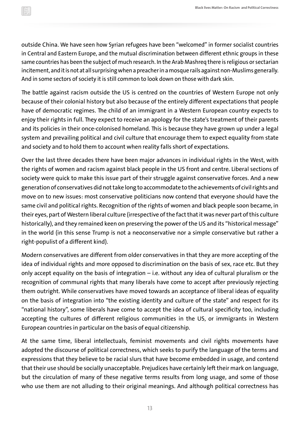outside China. We have seen how Syrian refugees have been "welcomed" in former socialist countries in Central and Eastern Europe, and the mutual discrimination between different ethnic groups in these same countries has been the subject of much research. In the Arab Mashreq there is religious or sectarian incitement, and it is not at all surprising when a preacher in a mosque rails against non-Muslims generally. And in some sectors of society it is still common to look down on those with dark skin.

The battle against racism outside the US is centred on the countries of Western Europe not only because of their colonial history but also because of the entirely different expectations that people have of democratic regimes. The child of an immigrant in a Western European country expects to enjoy their rights in full. They expect to receive an apology for the state's treatment of their parents and its policies in their once-colonised homeland. This is because they have grown up under a legal system and prevailing political and civil culture that encourage them to expect equality from state and society and to hold them to account when reality falls short of expectations.

Over the last three decades there have been major advances in individual rights in the West, with the rights of women and racism against black people in the US front and centre. Liberal sections of society were quick to make this issue part of their struggle against conservative forces. And a new generation of conservatives did not take long to accommodate to the achievements of civil rights and move on to new issues: most conservative politicians now contend that everyone should have the same civil and political rights. Recognition of the rights of women and black people soon became, in their eyes, part of Western liberal culture (irrespective of the fact that it was never part of this culture historically), and they remained keen on preserving the power of the US and its "historical message" in the world (in this sense Trump is not a neoconservative nor a simple conservative but rather a right-populist of a different kind).

Modern conservatives are different from older conservatives in that they are more accepting of the idea of individual rights and more opposed to discrimination on the basis of sex, race etc. But they only accept equality on the basis of integration – i.e. without any idea of cultural pluralism or the recognition of communal rights that many liberals have come to accept after previously rejecting them outright. While conservatives have moved towards an acceptance of liberal ideas of equality on the basis of integration into "the existing identity and culture of the state" and respect for its "national history", some liberals have come to accept the idea of cultural specificity too, including accepting the cultures of different religious communities in the US, or immigrants in Western European countries in particular on the basis of equal citizenship.

At the same time, liberal intellectuals, feminist movements and civil rights movements have adopted the discourse of political correctness, which seeks to purify the language of the terms and expressions that they believe to be racial slurs that have become embedded in usage, and contend that their use should be socially unacceptable. Prejudices have certainly left their mark on language, but the circulation of many of these negative terms results from long usage, and some of those who use them are not alluding to their original meanings. And although political correctness has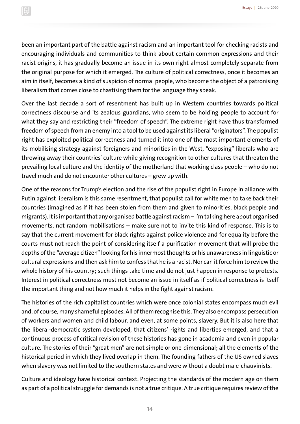been an important part of the battle against racism and an important tool for checking racists and encouraging individuals and communities to think about certain common expressions and their racist origins, it has gradually become an issue in its own right almost completely separate from the original purpose for which it emerged. The culture of political correctness, once it becomes an aim in itself, becomes a kind of suspicion of normal people, who become the object of a patronising liberalism that comes close to chastising them for the language they speak.

Over the last decade a sort of resentment has built up in Western countries towards political correctness discourse and its zealous guardians, who seem to be holding people to account for what they say and restricting their "freedom of speech". The extreme right have thus transformed freedom of speech from an enemy into a tool to be used against its liberal "originators". The populist right has exploited political correctness and turned it into one of the most important elements of its mobilising strategy against foreigners and minorities in the West, "exposing" liberals who are throwing away their countries' culture while giving recognition to other cultures that threaten the prevailing local culture and the identity of the motherland that working class people – who do not travel much and do not encounter other cultures – grew up with.

One of the reasons for Trump's election and the rise of the populist right in Europe in alliance with Putin against liberalism is this same resentment, that populist call for white men to take back their countries (imagined as if it has been stolen from them and given to minorities, black people and migrants). It is important that any organised battle against racism – I'm talking here about organised movements, not random mobilisations – make sure not to invite this kind of response. This is to say that the current movement for black rights against police violence and for equality before the courts must not reach the point of considering itself a purification movement that will probe the depths of the "average citizen" looking for his innermost thoughts or his unawareness in linguistic or cultural expressions and then ask him to confess that he is a racist. Nor can it force him to review the whole history of his country; such things take time and do not just happen in response to protests. Interest in political correctness must not become an issue in itself as if political correctness is itself the important thing and not how much it helps in the fight against racism.

The histories of the rich capitalist countries which were once colonial states encompass much evil and, of course, many shameful episodes. All of them recognise this. They also encompass persecution of workers and women and child labour, and even, at some points, slavery. But it is also here that the liberal-democratic system developed, that citizens' rights and liberties emerged, and that a continuous process of critical revision of these histories has gone in academia and even in popular culture. The stories of their "great men" are not simple or one-dimensional; all the elements of the historical period in which they lived overlap in them. The founding fathers of the US owned slaves when slavery was not limited to the southern states and were without a doubt male-chauvinists.

Culture and ideology have historical context. Projecting the standards of the modern age on them as part of a political struggle for demands is not a true critique. A true critique requires review of the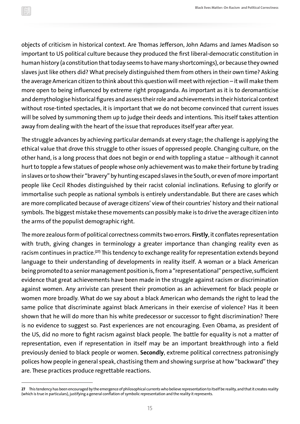objects of criticism in historical context. Are Thomas Jefferson, John Adams and James Madison so important to US political culture because they produced the first liberal-democratic constitution in human history (a constitution that today seems to have many shortcomings), or because they owned slaves just like others did? What precisely distinguished them from others in their own time? Asking the average American citizen to think about this question will meet with rejection – it will make them more open to being influenced by extreme right propaganda. As important as it is to deromanticise and demythologise historical figures and assess their role and achievements in their historical context without rose-tinted spectacles, it is important that we do not become convinced that current issues will be solved by summoning them up to judge their deeds and intentions. This itself takes attention away from dealing with the heart of the issue that reproduces itself year after year.

The struggle advances by achieving particular demands at every stage; the challenge is applying the ethical value that drove this struggle to other issues of oppressed people. Changing culture, on the other hand, is a long process that does not begin or end with toppling a statue – although it cannot hurt to topple a few statues of people whose only achievement was to make their fortune by trading in slaves or to show their "bravery" by hunting escaped slaves in the South, or even of more important people like Cecil Rhodes distinguished by their racist colonial inclinations. Refusing to glorify or immortalise such people as national symbols is entirely understandable. But there are cases which are more complicated because of average citizens' view of their countries' history and their national symbols. The biggest mistake these movements can possibly make is to drive the average citizen into the arms of the populist demographic right.

The more zealous form of political correctness commits two errors. **Firstly**, it conflates representation with truth, giving changes in terminology a greater importance than changing reality even as racism continues in practice.**(27)** This tendency to exchange reality for representation extends beyond language to their understanding of developments in reality itself. A woman or a black American being promoted to a senior management position is, from a "representational" perspective, sufficient evidence that great achievements have been made in the struggle against racism or discrimination against women. Any arriviste can present their promotion as an achievement for black people or women more broadly. What do we say about a black American who demands the right to lead the same police that discriminate against black Americans in their exercise of violence? Has it been shown that he will do more than his white predecessor or successor to fight discrimination? There is no evidence to suggest so. Past experiences are not encouraging. Even Obama, as president of the US, did no more to fight racism against black people. The battle for equality is not a matter of representation, even if representation in itself may be an important breakthrough into a field previously denied to black people or women. **Secondly**, extreme political correctness patronisingly polices how people in general speak, chastising them and showing surprise at how "backward" they are. These practices produce regrettable reactions.

**<sup>27</sup>** This tendency has been encouraged by the emergence of philosophical currents who believe representation to itself be reality, and that it creates reality (which is true in particulars), justifying a general conflation of symbolic representation and the reality it represents.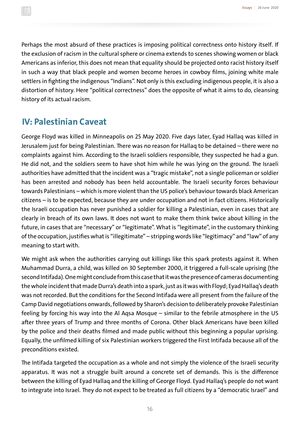Perhaps the most absurd of these practices is imposing political correctness onto history itself. If the exclusion of racism in the cultural sphere or cinema extends to scenes showing women or black Americans as inferior, this does not mean that equality should be projected onto racist history itself in such a way that black people and women become heroes in cowboy films, joining white male settlers in fighting the indigenous "Indians". Not only is this excluding indigenous people, it is also a distortion of history. Here "political correctness" does the opposite of what it aims to do, cleansing history of its actual racism.

## **IV: Palestinian Caveat**

George Floyd was killed in Minneapolis on 25 May 2020. Five days later, Eyad Hallaq was killed in Jerusalem just for being Palestinian. There was no reason for Hallaq to be detained – there were no complaints against him. According to the Israeli soldiers responsible, they suspected he had a gun. He did not, and the soldiers seem to have shot him while he was lying on the ground. The Israeli authorities have admitted that the incident was a "tragic mistake", not a single policeman or soldier has been arrested and nobody has been held accountable. The Israeli security forces behaviour towards Palestinians – which is more violent than the US police's behaviour towards black American citizens – is to be expected, because they are under occupation and not in fact citizens. Historically the Israeli occupation has never punished a soldier for killing a Palestinian, even in cases that are clearly in breach of its own laws. It does not want to make them think twice about killing in the future, in cases that are "necessary" or "legitimate". What is "legitimate", in the customary thinking of the occupation, justifies what is "illegitimate" – stripping words like "legitimacy" and "law" of any meaning to start with.

We might ask when the authorities carrying out killings like this spark protests against it. When Muhammad Durra, a child, was killed on 30 September 2000, it triggered a full-scale uprising (the second Intifada). One might conclude from this case that it was the presence of cameras documenting the whole incident that made Durra's death into a spark, just as it was with Floyd; Eyad Hallaq's death was not recorded. But the conditions for the Second Intifada were all present from the failure of the Camp David negotiations onwards, followed by Sharon's decision to deliberately provoke Palestinian feeling by forcing his way into the Al Aqsa Mosque – similar to the febrile atmosphere in the US after three years of Trump and three months of Corona. Other black Americans have been killed by the police and their deaths filmed and made public without this beginning a popular uprising. Equally, the unfilmed killing of six Palestinian workers triggered the First Intifada because all of the preconditions existed.

The Intifada targeted the occupation as a whole and not simply the violence of the Israeli security apparatus. It was not a struggle built around a concrete set of demands. This is the difference between the killing of Eyad Hallaq and the killing of George Floyd. Eyad Hallaq's people do not want to integrate into Israel. They do not expect to be treated as full citizens by a "democratic Israel" and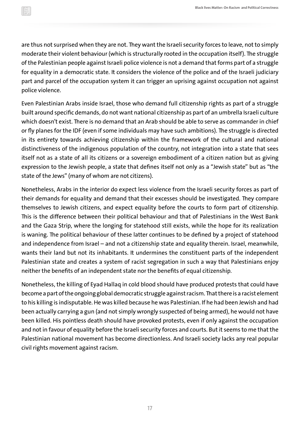are thus not surprised when they are not. They want the Israeli security forces to leave, not to simply moderate their violent behaviour (which is structurally rooted in the occupation itself). The struggle of the Palestinian people against Israeli police violence is not a demand that forms part of a struggle for equality in a democratic state. It considers the violence of the police and of the Israeli judiciary part and parcel of the occupation system it can trigger an uprising against occupation not against police violence.

Even Palestinian Arabs inside Israel, those who demand full citizenship rights as part of a struggle built around specific demands, do not want national citizenship as part of an umbrella Israeli culture which doesn't exist. There is no demand that an Arab should be able to serve as commander in chief or fly planes for the IDF (even if some individuals may have such ambitions). The struggle is directed in its entirety towards achieving citizenship within the framework of the cultural and national distinctiveness of the indigenous population of the country, not integration into a state that sees itself not as a state of all its citizens or a sovereign embodiment of a citizen nation but as giving expression to the Jewish people, a state that defines itself not only as a "Jewish state" but as "the state of the Jews" (many of whom are not citizens).

Nonetheless, Arabs in the interior do expect less violence from the Israeli security forces as part of their demands for equality and demand that their excesses should be investigated. They compare themselves to Jewish citizens, and expect equality before the courts to form part of citizenship. This is the difference between their political behaviour and that of Palestinians in the West Bank and the Gaza Strip, where the longing for statehood still exists, while the hope for its realization is waning. The political behaviour of these latter continues to be defined by a project of statehood and independence from Israel – and not a citizenship state and equality therein. Israel, meanwhile, wants their land but not its inhabitants. It undermines the constituent parts of the independent Palestinian state and creates a system of racist segregation in such a way that Palestinians enjoy neither the benefits of an independent state nor the benefits of equal citizenship.

Nonetheless, the killing of Eyad Hallaq in cold blood should have produced protests that could have become a part of the ongoing global democratic struggle against racism. That there is a racist element to his killing is indisputable. He was killed because he was Palestinian. If he had been Jewish and had been actually carrying a gun (and not simply wrongly suspected of being armed), he would not have been killed. His pointless death should have provoked protests, even if only against the occupation and not in favour of equality before the Israeli security forces and courts. But it seems to me that the Palestinian national movement has become directionless. And Israeli society lacks any real popular civil rights movement against racism.